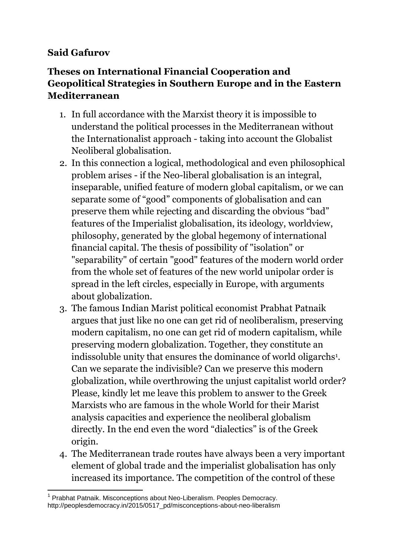## **Said Gafurov**

## **Theses on International Financial Cooperation and Geopolitical Strategies in Southern Europe and in the Eastern Mediterranean**

- 1. In full accordance with the Marxist theory it is impossible to understand the political processes in the Mediterranean without the Internationalist approach - taking into account the Globalist Neoliberal globalisation.
- 2. In this connection a logical, methodological and even philosophical problem arises - if the Neo-liberal globalisation is an integral, inseparable, unified feature of modern global capitalism, or we can separate some of "good" components of globalisation and can preserve them while rejecting and discarding the obvious "bad" features of the Imperialist globalisation, its ideology, worldview, philosophy, generated by the global hegemony of international financial capital. The thesis of possibility of "isolation" or "separability" of certain "good" features of the modern world order from the whole set of features of the new world unipolar order is spread in the left circles, especially in Europe, with arguments about globalization.
- 3. The famous Indian Marist political economist Prabhat Patnaik argues that just like no one can get rid of neoliberalism, preserving modern capitalism, no one can get rid of modern capitalism, while preserving modern globalization. Together, they constitute an indissoluble unity that ensures the dominance of world oligarchs<sup>1</sup> . Can we separate the indivisible? Can we preserve this modern globalization, while overthrowing the unjust capitalist world order? Please, kindly let me leave this problem to answer to the Greek Marxists who are famous in the whole World for their Marist analysis capacities and experience the neoliberal globalism directly. In the end even the word "dialectics" is of the Greek origin.
- 4. The Mediterranean trade routes have always been a very important element of global trade and the imperialist globalisation has only increased its importance. The competition of the control of these

<sup>-</sup><sup>1</sup> Prabhat Patnaik. Misconceptions about Neo-Liberalism. Peoples Democracy. http://peoplesdemocracy.in/2015/0517\_pd/misconceptions-about-neo-liberalism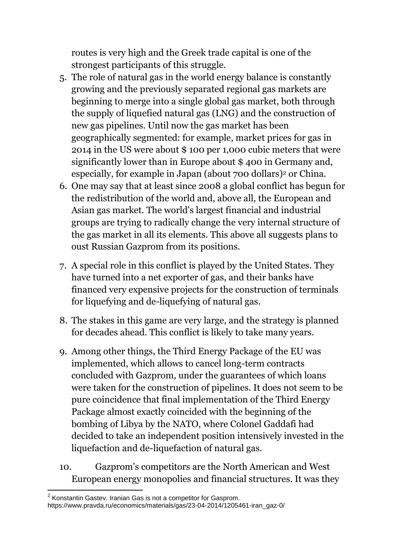routes is very high and the Greek trade capital is one of the strongest participants of this struggle.

- 5. The role of natural gas in the world energy balance is constantly growing and the previously separated regional gas markets are beginning to merge into a single global gas market, both through the supply of liquefied natural gas (LNG) and the construction of new gas pipelines. Until now the gas market has been geographically segmented: for example, market prices for gas in 2014 in the US were about \$ 100 per 1,000 cubic meters that were significantly lower than in Europe about \$ 400 in Germany and, especially, for example in Japan (about 700 dollars)<sup>2</sup> or China.
- 6. One may say that at least since 2008 a global conflict has begun for the redistribution of the world and, above all, the European and Asian gas market. The world's largest financial and industrial groups are trying to radically change the very internal structure of the gas market in all its elements. This above all suggests plans to oust Russian Gazprom from its positions.
- 7. A special role in this conflict is played by the United States. They have turned into a net exporter of gas, and their banks have financed very expensive projects for the construction of terminals for liquefying and de-liquefying of natural gas.
- 8. The stakes in this game are very large, and the strategy is planned for decades ahead. This conflict is likely to take many years.
- 9. Among other things, the Third Energy Package of the EU was implemented, which allows to cancel long-term contracts concluded with Gazprom, under the guarantees of which loans were taken for the construction of pipelines. It does not seem to be pure coincidence that final implementation of the Third Energy Package almost exactly coincided with the beginning of the bombing of Libya by the NATO, where Colonel Gaddafi had decided to take an independent position intensively invested in the liquefaction and de-liquefaction of natural gas.
- 10. Gazprom's competitors are the North American and West European energy monopolies and financial structures. It was they

 2 Konstantin Gastev. Iranian Gas is not a competitor for Gasprom. https://www.pravda.ru/economics/materials/gas/23-04-2014/1205461-iran\_gaz-0/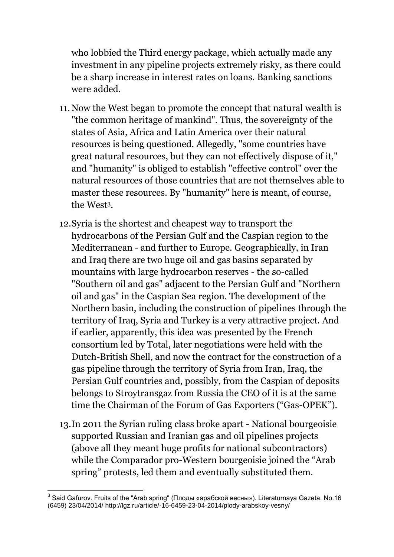who lobbied the Third energy package, which actually made any investment in any pipeline projects extremely risky, as there could be a sharp increase in interest rates on loans. Banking sanctions were added.

- 11. Now the West began to promote the concept that natural wealth is "the common heritage of mankind". Thus, the sovereignty of the states of Asia, Africa and Latin America over their natural resources is being questioned. Allegedly, "some countries have great natural resources, but they can not effectively dispose of it," and "humanity" is obliged to establish "effective control" over the natural resources of those countries that are not themselves able to master these resources. By "humanity" here is meant, of course, the West3.
- 12.Syria is the shortest and cheapest way to transport the hydrocarbons of the Persian Gulf and the Caspian region to the Mediterranean - and further to Europe. Geographically, in Iran and Iraq there are two huge oil and gas basins separated by mountains with large hydrocarbon reserves - the so-called "Southern oil and gas" adjacent to the Persian Gulf and "Northern oil and gas" in the Caspian Sea region. The development of the Northern basin, including the construction of pipelines through the territory of Iraq, Syria and Turkey is a very attractive project. And if earlier, apparently, this idea was presented by the French consortium led by Total, later negotiations were held with the Dutch-British Shell, and now the contract for the construction of a gas pipeline through the territory of Syria from Iran, Iraq, the Persian Gulf countries and, possibly, from the Caspian of deposits belongs to Stroytransgaz from Russia the CEO of it is at the same time the Chairman of the Forum of Gas Exporters ("Gas-OPEK").
- 13.In 2011 the Syrian ruling class broke apart National bourgeoisie supported Russian and Iranian gas and oil pipelines projects (above all they meant huge profits for national subcontractors) while the Comparador pro-Western bourgeoisie joined the "Arab spring" protests, led them and eventually substituted them.

-

 $^3$  Said Gafurov. Fruits of the "Arab spring" (Плоды «арабской весны»). Literaturnaya Gazeta. No.16 (6459) 23/04/2014/ http://lgz.ru/article/-16-6459-23-04-2014/plody-arabskoy-vesny/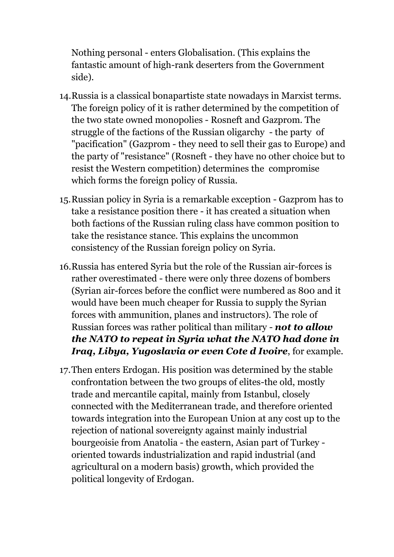Nothing personal - enters Globalisation. (This explains the fantastic amount of high-rank deserters from the Government side).

- 14.Russia is a classical bonapartiste state nowadays in Marxist terms. The foreign policy of it is rather determined by the competition of the two state owned monopolies - Rosneft and Gazprom. The struggle of the factions of the Russian oligarchy - the party of "pacification" (Gazprom - they need to sell their gas to Europe) and the party of "resistance" (Rosneft - they have no other choice but to resist the Western competition) determines the compromise which forms the foreign policy of Russia.
- 15.Russian policy in Syria is a remarkable exception Gazprom has to take a resistance position there - it has created a situation when both factions of the Russian ruling class have common position to take the resistance stance. This explains the uncommon consistency of the Russian foreign policy on Syria.
- 16.Russia has entered Syria but the role of the Russian air-forces is rather overestimated - there were only three dozens of bombers (Syrian air-forces before the conflict were numbered as 800 and it would have been much cheaper for Russia to supply the Syrian forces with ammunition, planes and instructors). The role of Russian forces was rather political than military - *not to allow the NATO to repeat in Syria what the NATO had done in Iraq, Libya, Yugoslavia or even Cote d Ivoire*, for example.
- 17.Then enters Erdogan. His position was determined by the stable confrontation between the two groups of elites-the old, mostly trade and mercantile capital, mainly from Istanbul, closely connected with the Mediterranean trade, and therefore oriented towards integration into the European Union at any cost up to the rejection of national sovereignty against mainly industrial bourgeoisie from Anatolia - the eastern, Asian part of Turkey oriented towards industrialization and rapid industrial (and agricultural on a modern basis) growth, which provided the political longevity of Erdogan.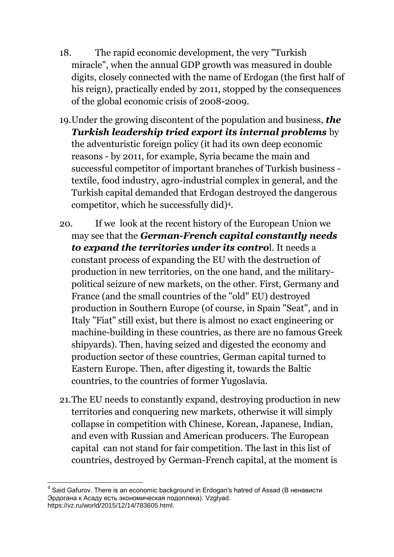- 18. The rapid economic development, the very "Turkish miracle", when the annual GDP growth was measured in double digits, closely connected with the name of Erdogan (the first half of his reign), practically ended by 2011, stopped by the consequences of the global economic crisis of 2008-2009.
- 19.Under the growing discontent of the population and business, *the Turkish leadership tried export its internal problems* by the adventuristic foreign policy (it had its own deep economic reasons - by 2011, for example, Syria became the main and successful competitor of important branches of Turkish business textile, food industry, agro-industrial complex in general, and the Turkish capital demanded that Erdogan destroyed the dangerous competitor, which he successfully did)4.
- 20. If we look at the recent history of the European Union we may see that the *German-French capital constantly needs to expand the territories under its contro*l. It needs a constant process of expanding the EU with the destruction of production in new territories, on the one hand, and the militarypolitical seizure of new markets, on the other. First, Germany and France (and the small countries of the "old" EU) destroyed production in Southern Europe (of course, in Spain "Seat", and in Italy "Fiat" still exist, but there is almost no exact engineering or machine-building in these countries, as there are no famous Greek shipyards). Then, having seized and digested the economy and production sector of these countries, German capital turned to Eastern Europe. Then, after digesting it, towards the Baltic countries, to the countries of former Yugoslavia.
- 21.The EU needs to constantly expand, destroying production in new territories and conquering new markets, otherwise it will simply collapse in competition with Chinese, Korean, Japanese, Indian, and even with Russian and American producers. The European capital can not stand for fair competition. The last in this list of countries, destroyed by German-French capital, at the moment is

-

 $^4$  Said Gafurov. There is an economic background in Erdogan's hatred of Assad (В ненависти Эрдогана к Асаду есть экономическая подоплека). Vzglyad. https://vz.ru/world/2015/12/14/783605.html.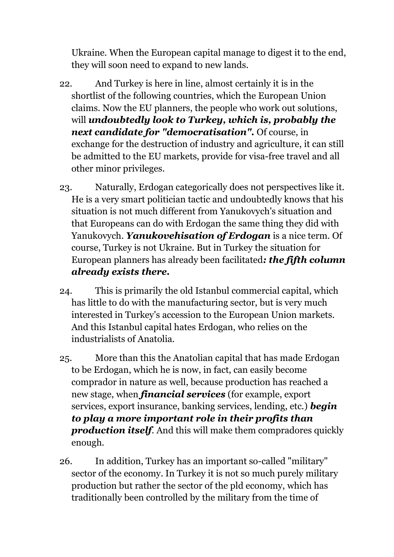Ukraine. When the European capital manage to digest it to the end, they will soon need to expand to new lands.

- 22. And Turkey is here in line, almost certainly it is in the shortlist of the following countries, which the European Union claims. Now the EU planners, the people who work out solutions, will *undoubtedly look to Turkey, which is, probably the next candidate for "democratisation".* Of course, in exchange for the destruction of industry and agriculture, it can still be admitted to the EU markets, provide for visa-free travel and all other minor privileges.
- 23. Naturally, Erdogan categorically does not perspectives like it. He is a very smart politician tactic and undoubtedly knows that his situation is not much different from Yanukovych's situation and that Europeans can do with Erdogan the same thing they did with Yanukovych. *Yanukovehisation of Erdogan* is a nice term. Of course, Turkey is not Ukraine. But in Turkey the situation for European planners has already been facilitated*: the fifth column already exists there.*
- 24. This is primarily the old Istanbul commercial capital, which has little to do with the manufacturing sector, but is very much interested in Turkey's accession to the European Union markets. And this Istanbul capital hates Erdogan, who relies on the industrialists of Anatolia.
- 25. More than this the Anatolian capital that has made Erdogan to be Erdogan, which he is now, in fact, can easily become comprador in nature as well, because production has reached a new stage, when *financial services* (for example, export services, export insurance, banking services, lending, etc.) *begin to play a more important role in their profits than production itself*. And this will make them compradores quickly enough.
- 26. In addition, Turkey has an important so-called "military" sector of the economy. In Turkey it is not so much purely military production but rather the sector of the pld economy, which has traditionally been controlled by the military from the time of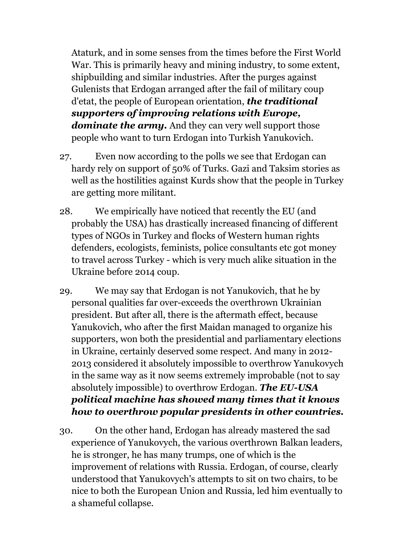Ataturk, and in some senses from the times before the First World War. This is primarily heavy and mining industry, to some extent, shipbuilding and similar industries. After the purges against Gulenists that Erdogan arranged after the fail of military coup d'etat, the people of European orientation, *the traditional supporters of improving relations with Europe, dominate the army.* And they can very well support those people who want to turn Erdogan into Turkish Yanukovich.

- 27. Even now according to the polls we see that Erdogan can hardy rely on support of 50% of Turks. Gazi and Taksim stories as well as the hostilities against Kurds show that the people in Turkey are getting more militant.
- 28. We empirically have noticed that recently the EU (and probably the USA) has drastically increased financing of different types of NGOs in Turkey and flocks of Western human rights defenders, ecologists, feminists, police consultants etc got money to travel across Turkey - which is very much alike situation in the Ukraine before 2014 coup.
- 29. We may say that Erdogan is not Yanukovich, that he by personal qualities far over-exceeds the overthrown Ukrainian president. But after all, there is the aftermath effect, because Yanukovich, who after the first Maidan managed to organize his supporters, won both the presidential and parliamentary elections in Ukraine, certainly deserved some respect. And many in 2012- 2013 considered it absolutely impossible to overthrow Yanukovych in the same way as it now seems extremely improbable (not to say absolutely impossible) to overthrow Erdogan. *The EU-USA political machine has showed many times that it knows how to overthrow popular presidents in other countries.*
- 30. On the other hand, Erdogan has already mastered the sad experience of Yanukovych, the various overthrown Balkan leaders, he is stronger, he has many trumps, one of which is the improvement of relations with Russia. Erdogan, of course, clearly understood that Yanukovych's attempts to sit on two chairs, to be nice to both the European Union and Russia, led him eventually to a shameful collapse.